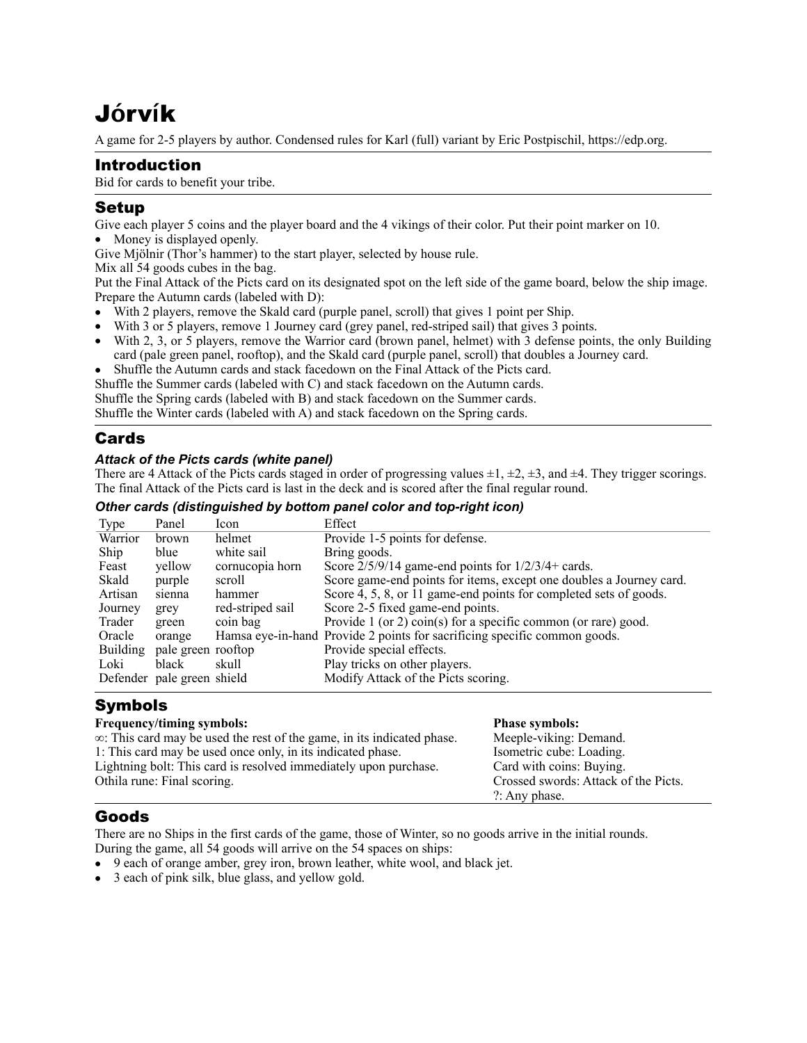# J**ó**rv**í**k

A game for 2-5 players by author. Condensed rules for Karl (full) variant by Eric Postpischil,<https://edp.org>.

## Introduction

Bid for cards to benefit your tribe.

## Setup

Give each player 5 coins and the player board and the 4 vikings of their color. Put their point marker on 10. • Money is displayed openly.

Give Mjölnir (Thor's hammer) to the start player, selected by house rule.

Mix all 54 goods cubes in the bag.

Put the Final Attack of the Picts card on its designated spot on the left side of the game board, below the ship image. Prepare the Autumn cards (labeled with D):

- With 2 players, remove the Skald card (purple panel, scroll) that gives 1 point per Ship.
- With 3 or 5 players, remove 1 Journey card (grey panel, red-striped sail) that gives 3 points.
- With 2, 3, or 5 players, remove the Warrior card (brown panel, helmet) with 3 defense points, the only Building card (pale green panel, rooftop), and the Skald card (purple panel, scroll) that doubles a Journey card.
- Shuffle the Autumn cards and stack facedown on the Final Attack of the Picts card.

Shuffle the Summer cards (labeled with C) and stack facedown on the Autumn cards.

Shuffle the Spring cards (labeled with B) and stack facedown on the Summer cards.

Shuffle the Winter cards (labeled with A) and stack facedown on the Spring cards.

## **Cards**

#### *Attack of the Picts cards (white panel)*

There are 4 Attack of the Picts cards staged in order of progressing values  $\pm 1$ ,  $\pm 2$ ,  $\pm 3$ , and  $\pm 4$ . They trigger scorings. The final Attack of the Picts card is last in the deck and is scored after the final regular round.

#### *Other cards (distinguished by bottom panel color and top-right icon)*

| Type            | Panel                      | lcon             | Effect                                                                    |
|-----------------|----------------------------|------------------|---------------------------------------------------------------------------|
| Warrior         | brown                      | helmet           | Provide 1-5 points for defense.                                           |
| Ship            | blue                       | white sail       | Bring goods.                                                              |
| Feast           | vellow                     | cornucopia horn  | Score $2/5/9/14$ game-end points for $1/2/3/4$ + cards.                   |
| Skald           | purple                     | scroll           | Score game-end points for items, except one doubles a Journey card.       |
| Artisan         | sienna                     | hammer           | Score 4, 5, 8, or 11 game-end points for completed sets of goods.         |
| Journey         | grey                       | red-striped sail | Score 2-5 fixed game-end points.                                          |
| Trader          | green                      | coin bag         | Provide 1 (or 2) coin(s) for a specific common (or rare) good.            |
| Oracle          | orange                     |                  | Hamsa eye-in-hand Provide 2 points for sacrificing specific common goods. |
| <b>Building</b> | pale green rooftop         |                  | Provide special effects.                                                  |
| Loki            | black                      | skull            | Play tricks on other players.                                             |
|                 | Defender pale green shield |                  | Modify Attack of the Picts scoring.                                       |

# Symbols

| Frequency/timing symbols:                                                      | <b>Phase symbols:</b>                |
|--------------------------------------------------------------------------------|--------------------------------------|
| $\infty$ : This card may be used the rest of the game, in its indicated phase. | Meeple-viking: Demand.               |
| 1: This card may be used once only, in its indicated phase.                    | Isometric cube: Loading.             |
| Lightning bolt: This card is resolved immediately upon purchase.               | Card with coins: Buying.             |
| Othila rune: Final scoring.                                                    | Crossed swords: Attack of the Picts. |
|                                                                                | $?$ : Any phase.                     |
|                                                                                |                                      |

# Goods

There are no Ships in the first cards of the game, those of Winter, so no goods arrive in the initial rounds. During the game, all 54 goods will arrive on the 54 spaces on ships:

- 9 each of orange amber, grey iron, brown leather, white wool, and black jet.
- 3 each of pink silk, blue glass, and yellow gold.